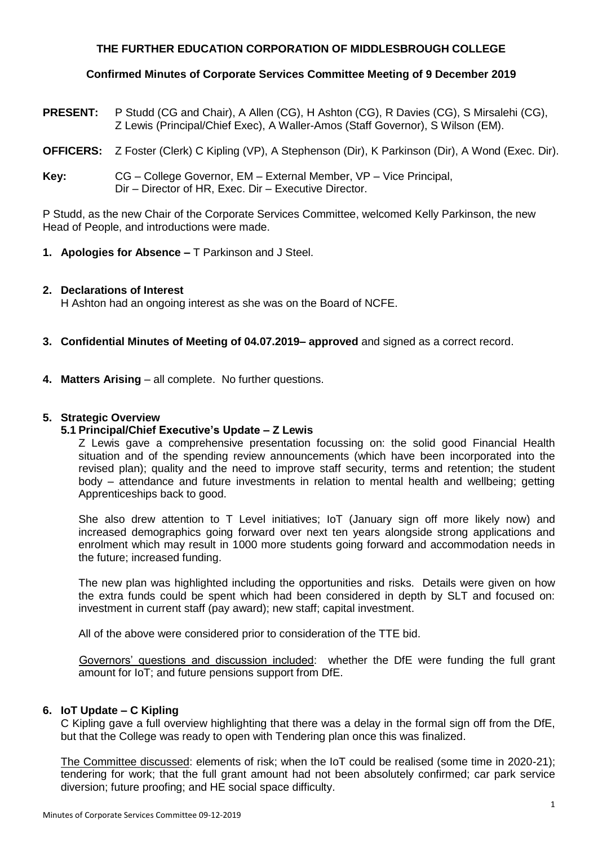# **THE FURTHER EDUCATION CORPORATION OF MIDDLESBROUGH COLLEGE**

# **Confirmed Minutes of Corporate Services Committee Meeting of 9 December 2019**

- **PRESENT:** P Studd (CG and Chair), A Allen (CG), H Ashton (CG), R Davies (CG), S Mirsalehi (CG), Z Lewis (Principal/Chief Exec), A Waller-Amos (Staff Governor), S Wilson (EM).
- **OFFICERS:** Z Foster (Clerk) C Kipling (VP), A Stephenson (Dir), K Parkinson (Dir), A Wond (Exec. Dir).
- **Key:** CG College Governor, EM External Member, VP Vice Principal, Dir – Director of HR, Exec. Dir – Executive Director.

P Studd, as the new Chair of the Corporate Services Committee, welcomed Kelly Parkinson, the new Head of People, and introductions were made.

**1. Apologies for Absence –** T Parkinson and J Steel.

#### **2. Declarations of Interest**

H Ashton had an ongoing interest as she was on the Board of NCFE.

- **3. Confidential Minutes of Meeting of 04.07.2019– approved** and signed as a correct record.
- **4. Matters Arising** all complete. No further questions.

#### **5. Strategic Overview**

#### **5.1 Principal/Chief Executive's Update – Z Lewis**

Z Lewis gave a comprehensive presentation focussing on: the solid good Financial Health situation and of the spending review announcements (which have been incorporated into the revised plan); quality and the need to improve staff security, terms and retention; the student body – attendance and future investments in relation to mental health and wellbeing; getting Apprenticeships back to good.

She also drew attention to T Level initiatives; IoT (January sign off more likely now) and increased demographics going forward over next ten years alongside strong applications and enrolment which may result in 1000 more students going forward and accommodation needs in the future; increased funding.

The new plan was highlighted including the opportunities and risks. Details were given on how the extra funds could be spent which had been considered in depth by SLT and focused on: investment in current staff (pay award); new staff; capital investment.

All of the above were considered prior to consideration of the TTE bid.

Governors' questions and discussion included: whether the DfE were funding the full grant amount for IoT; and future pensions support from DfE.

#### **6. IoT Update – C Kipling**

C Kipling gave a full overview highlighting that there was a delay in the formal sign off from the DfE, but that the College was ready to open with Tendering plan once this was finalized.

The Committee discussed: elements of risk; when the IoT could be realised (some time in 2020-21); tendering for work; that the full grant amount had not been absolutely confirmed; car park service diversion; future proofing; and HE social space difficulty.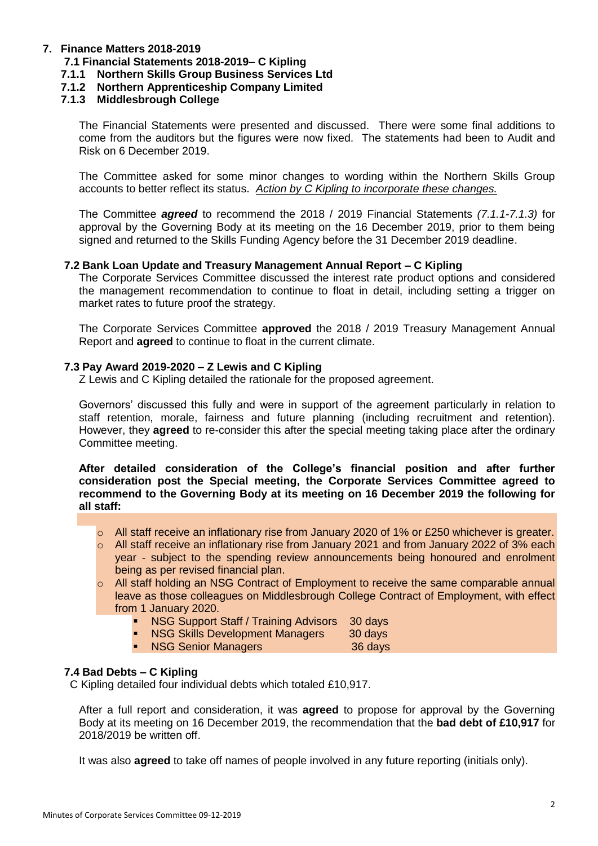# **7. Finance Matters 2018-2019**

# **7.1 Financial Statements 2018-2019– C Kipling**

- **7.1.1 Northern Skills Group Business Services Ltd**
- **7.1.2 Northern Apprenticeship Company Limited**

# **7.1.3 Middlesbrough College**

The Financial Statements were presented and discussed. There were some final additions to come from the auditors but the figures were now fixed. The statements had been to Audit and Risk on 6 December 2019.

The Committee asked for some minor changes to wording within the Northern Skills Group accounts to better reflect its status. *Action by C Kipling to incorporate these changes.*

The Committee *agreed* to recommend the 2018 / 2019 Financial Statements *(7.1.1-7.1.3)* for approval by the Governing Body at its meeting on the 16 December 2019, prior to them being signed and returned to the Skills Funding Agency before the 31 December 2019 deadline.

#### **7.2 Bank Loan Update and Treasury Management Annual Report – C Kipling**

The Corporate Services Committee discussed the interest rate product options and considered the management recommendation to continue to float in detail, including setting a trigger on market rates to future proof the strategy.

The Corporate Services Committee **approved** the 2018 / 2019 Treasury Management Annual Report and **agreed** to continue to float in the current climate.

#### **7.3 Pay Award 2019-2020 – Z Lewis and C Kipling**

Z Lewis and C Kipling detailed the rationale for the proposed agreement.

Governors' discussed this fully and were in support of the agreement particularly in relation to staff retention, morale, fairness and future planning (including recruitment and retention). However, they **agreed** to re-consider this after the special meeting taking place after the ordinary Committee meeting.

**After detailed consideration of the College's financial position and after further consideration post the Special meeting, the Corporate Services Committee agreed to recommend to the Governing Body at its meeting on 16 December 2019 the following for all staff:**

- $\circ$  All staff receive an inflationary rise from January 2020 of 1% or £250 whichever is greater.
- $\circ$  All staff receive an inflationary rise from January 2021 and from January 2022 of 3% each year - subject to the spending review announcements being honoured and enrolment being as per revised financial plan.
- o All staff holding an NSG Contract of Employment to receive the same comparable annual leave as those colleagues on Middlesbrough College Contract of Employment, with effect from 1 January 2020.
	- **NSG Support Staff / Training Advisors** 30 days
	- NSG Skills Development Managers 30 days
	- **NSG Senior Managers** 36 days

# **7.4 Bad Debts – C Kipling**

C Kipling detailed four individual debts which totaled £10,917.

After a full report and consideration, it was **agreed** to propose for approval by the Governing Body at its meeting on 16 December 2019, the recommendation that the **bad debt of £10,917** for 2018/2019 be written off.

It was also **agreed** to take off names of people involved in any future reporting (initials only).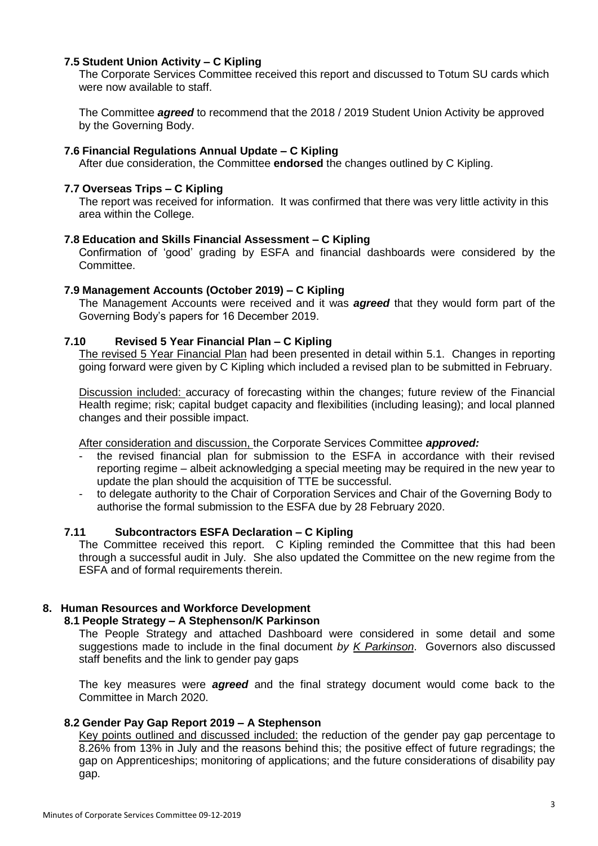## **7.5 Student Union Activity – C Kipling**

The Corporate Services Committee received this report and discussed to Totum SU cards which were now available to staff.

The Committee *agreed* to recommend that the 2018 / 2019 Student Union Activity be approved by the Governing Body.

#### **7.6 Financial Regulations Annual Update – C Kipling**

After due consideration, the Committee **endorsed** the changes outlined by C Kipling.

#### **7.7 Overseas Trips – C Kipling**

The report was received for information. It was confirmed that there was very little activity in this area within the College.

#### **7.8 Education and Skills Financial Assessment – C Kipling**

Confirmation of 'good' grading by ESFA and financial dashboards were considered by the Committee.

#### **7.9 Management Accounts (October 2019) – C Kipling**

The Management Accounts were received and it was *agreed* that they would form part of the Governing Body's papers for 16 December 2019.

#### **7.10 Revised 5 Year Financial Plan – C Kipling**

The revised 5 Year Financial Plan had been presented in detail within 5.1. Changes in reporting going forward were given by C Kipling which included a revised plan to be submitted in February.

Discussion included: accuracy of forecasting within the changes; future review of the Financial Health regime; risk; capital budget capacity and flexibilities (including leasing); and local planned changes and their possible impact.

After consideration and discussion, the Corporate Services Committee *approved:*

- the revised financial plan for submission to the ESFA in accordance with their revised reporting regime – albeit acknowledging a special meeting may be required in the new year to update the plan should the acquisition of TTE be successful.
- to delegate authority to the Chair of Corporation Services and Chair of the Governing Body to authorise the formal submission to the ESFA due by 28 February 2020.

#### **7.11 Subcontractors ESFA Declaration – C Kipling**

The Committee received this report. C Kipling reminded the Committee that this had been through a successful audit in July. She also updated the Committee on the new regime from the ESFA and of formal requirements therein.

# **8. Human Resources and Workforce Development**

#### **8.1 People Strategy – A Stephenson/K Parkinson**

The People Strategy and attached Dashboard were considered in some detail and some suggestions made to include in the final document *by K Parkinson*. Governors also discussed staff benefits and the link to gender pay gaps

The key measures were *agreed* and the final strategy document would come back to the Committee in March 2020.

#### **8.2 Gender Pay Gap Report 2019 – A Stephenson**

Key points outlined and discussed included: the reduction of the gender pay gap percentage to 8.26% from 13% in July and the reasons behind this; the positive effect of future regradings; the gap on Apprenticeships; monitoring of applications; and the future considerations of disability pay gap.